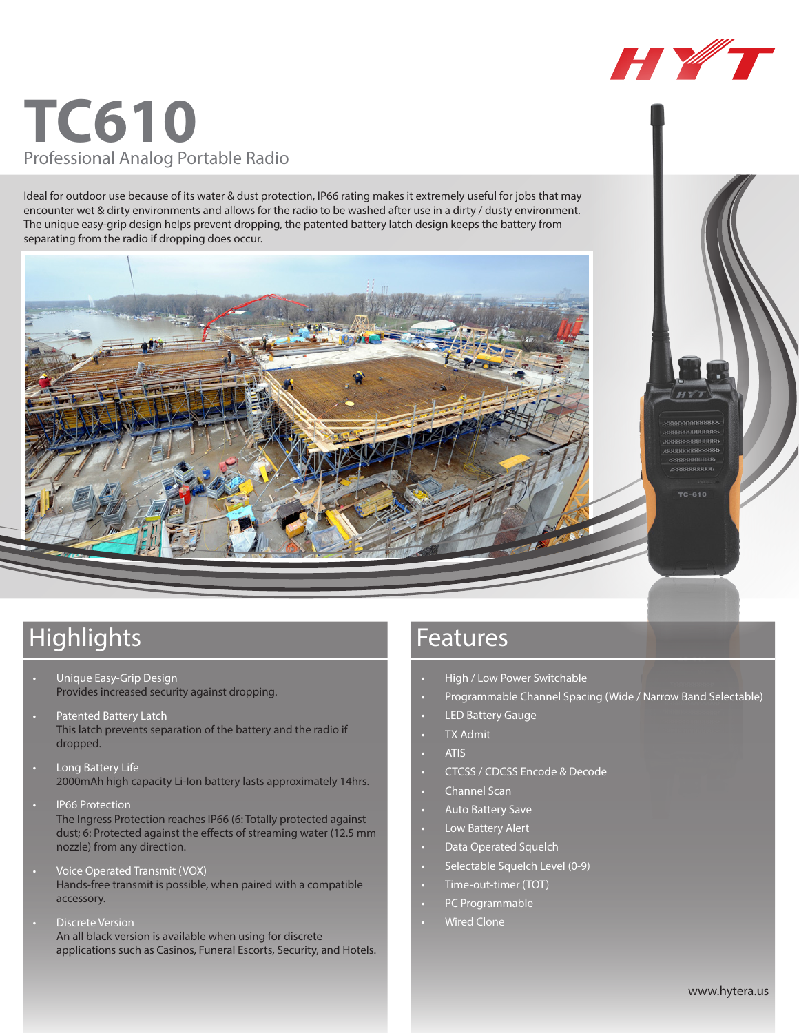# **TC610** Professional Analog Portable Radio

Ideal for outdoor use because of its water & dust protection, IP66 rating makes it extremely useful for jobs that may encounter wet & dirty environments and allows for the radio to be washed after use in a dirty / dusty environment. The unique easy-grip design helps prevent dropping, the patented battery latch design keeps the battery from separating from the radio if dropping does occur.



## Highlights **Features**

- Unique Easy-Grip Design Provides increased security against dropping.
- Patented Battery Latch This latch prevents separation of the battery and the radio if dropped.
- Long Battery Life 2000mAh high capacity Li-Ion battery lasts approximately 14hrs.
- **IP66 Protection** The Ingress Protection reaches IP66 (6: Totally protected against dust; 6: Protected against the effects of streaming water (12.5 mm nozzle) from any direction.
- Voice Operated Transmit (VOX) Hands-free transmit is possible, when paired with a compatible accessory.
- **Discrete Version** An all black version is available when using for discrete applications such as Casinos, Funeral Escorts, Security, and Hotels.

- High / Low Power Switchable
- • Programmable Channel Spacing (Wide / Narrow Band Selectable)

HY T

 $TC - B 10$ 

- **LED Battery Gauge** 
	- **TX Admit**
- **ATIS**
- CTCSS / CDCSS Encode & Decode
- • Channel Scan
- Auto Battery Save
- • Low Battery Alert
- Data Operated Squelch
- Selectable Squelch Level (0-9)
- Time-out-timer (TOT)
- PC Programmable
- **Wired Clone**